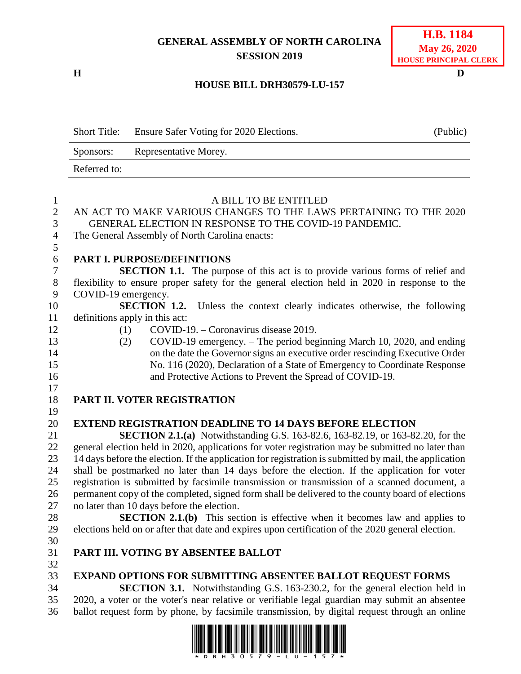# **GENERAL ASSEMBLY OF NORTH CAROLINA SESSION 2019**

**H D**

### **H.B. 1184 May 26, 2020 HOUSE PRINCIPAL CLERK**

### **HOUSE BILL DRH30579-LU-157**

|                           | <b>Short Title:</b> | Ensure Safer Voting for 2020 Elections.                                                                                                                                               | (Public) |
|---------------------------|---------------------|---------------------------------------------------------------------------------------------------------------------------------------------------------------------------------------|----------|
|                           | Sponsors:           | Representative Morey.                                                                                                                                                                 |          |
|                           | Referred to:        |                                                                                                                                                                                       |          |
|                           |                     |                                                                                                                                                                                       |          |
| $\mathbf{1}$              |                     | A BILL TO BE ENTITLED                                                                                                                                                                 |          |
| $\sqrt{2}$<br>3           |                     | AN ACT TO MAKE VARIOUS CHANGES TO THE LAWS PERTAINING TO THE 2020<br>GENERAL ELECTION IN RESPONSE TO THE COVID-19 PANDEMIC.                                                           |          |
| $\overline{4}$            |                     | The General Assembly of North Carolina enacts:                                                                                                                                        |          |
| 5                         |                     |                                                                                                                                                                                       |          |
| 6                         |                     | <b>PART I. PURPOSE/DEFINITIONS</b>                                                                                                                                                    |          |
| $\boldsymbol{7}$<br>$8\,$ |                     | <b>SECTION 1.1.</b> The purpose of this act is to provide various forms of relief and<br>flexibility to ensure proper safety for the general election held in 2020 in response to the |          |
| 9                         | COVID-19 emergency. |                                                                                                                                                                                       |          |
| 10                        |                     | <b>SECTION 1.2.</b><br>Unless the context clearly indicates otherwise, the following                                                                                                  |          |
| 11                        |                     | definitions apply in this act:                                                                                                                                                        |          |
| 12                        | (1)                 | COVID-19. – Coronavirus disease 2019.                                                                                                                                                 |          |
| 13                        | (2)                 | COVID-19 emergency. – The period beginning March 10, 2020, and ending                                                                                                                 |          |
| 14                        |                     | on the date the Governor signs an executive order rescinding Executive Order                                                                                                          |          |
| 15                        |                     | No. 116 (2020), Declaration of a State of Emergency to Coordinate Response                                                                                                            |          |
| 16<br>17                  |                     | and Protective Actions to Prevent the Spread of COVID-19.                                                                                                                             |          |
| 18                        |                     | PART II. VOTER REGISTRATION                                                                                                                                                           |          |
| 19                        |                     |                                                                                                                                                                                       |          |
| 20                        |                     | <b>EXTEND REGISTRATION DEADLINE TO 14 DAYS BEFORE ELECTION</b>                                                                                                                        |          |
| 21                        |                     | <b>SECTION 2.1.(a)</b> Notwithstanding G.S. 163-82.6, 163-82.19, or 163-82.20, for the                                                                                                |          |
| 22                        |                     | general election held in 2020, applications for voter registration may be submitted no later than                                                                                     |          |
| 23                        |                     | 14 days before the election. If the application for registration is submitted by mail, the application                                                                                |          |
| 24                        |                     | shall be postmarked no later than 14 days before the election. If the application for voter                                                                                           |          |
| 25                        |                     | registration is submitted by facsimile transmission or transmission of a scanned document, a                                                                                          |          |
| 26                        |                     | permanent copy of the completed, signed form shall be delivered to the county board of elections                                                                                      |          |
| 27                        |                     | no later than 10 days before the election.                                                                                                                                            |          |
| 28                        |                     | <b>SECTION 2.1.(b)</b> This section is effective when it becomes law and applies to                                                                                                   |          |
| 29                        |                     | elections held on or after that date and expires upon certification of the 2020 general election.                                                                                     |          |
| 30                        |                     |                                                                                                                                                                                       |          |
| 31                        |                     | PART III. VOTING BY ABSENTEE BALLOT                                                                                                                                                   |          |
| 32                        |                     |                                                                                                                                                                                       |          |
| 33                        |                     | <b>EXPAND OPTIONS FOR SUBMITTING ABSENTEE BALLOT REQUEST FORMS</b>                                                                                                                    |          |
| 34                        |                     | <b>SECTION 3.1.</b> Notwithstanding G.S. 163-230.2, for the general election held in                                                                                                  |          |
| 35                        |                     | 2020, a voter or the voter's near relative or verifiable legal guardian may submit an absentee                                                                                        |          |
| 36                        |                     | ballot request form by phone, by facsimile transmission, by digital request through an online                                                                                         |          |

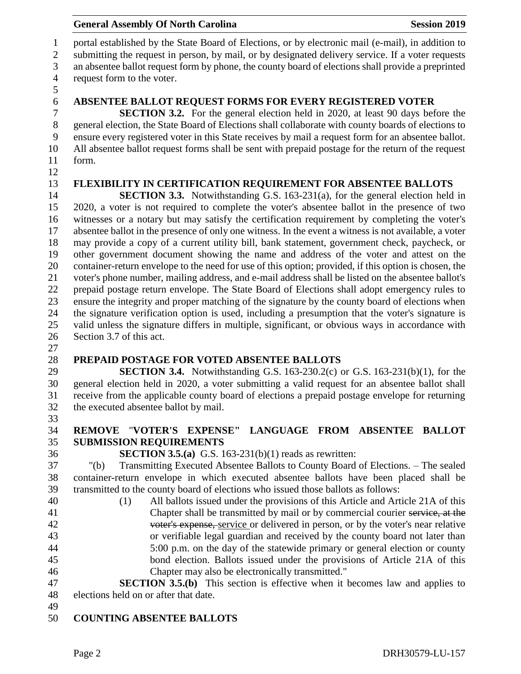portal established by the State Board of Elections, or by electronic mail (e-mail), in addition to submitting the request in person, by mail, or by designated delivery service. If a voter requests an absentee ballot request form by phone, the county board of elections shall provide a preprinted request form to the voter. 

**ABSENTEE BALLOT REQUEST FORMS FOR EVERY REGISTERED VOTER**

 **SECTION 3.2.** For the general election held in 2020, at least 90 days before the general election, the State Board of Elections shall collaborate with county boards of elections to ensure every registered voter in this State receives by mail a request form for an absentee ballot. All absentee ballot request forms shall be sent with prepaid postage for the return of the request form. 

**FLEXIBILITY IN CERTIFICATION REQUIREMENT FOR ABSENTEE BALLOTS**

**SECTION 3.3.** Notwithstanding G.S. 163-231(a), for the general election held in 2020, a voter is not required to complete the voter's absentee ballot in the presence of two witnesses or a notary but may satisfy the certification requirement by completing the voter's absentee ballot in the presence of only one witness. In the event a witness is not available, a voter may provide a copy of a current utility bill, bank statement, government check, paycheck, or other government document showing the name and address of the voter and attest on the container-return envelope to the need for use of this option; provided, if this option is chosen, the voter's phone number, mailing address, and e-mail address shall be listed on the absentee ballot's prepaid postage return envelope. The State Board of Elections shall adopt emergency rules to ensure the integrity and proper matching of the signature by the county board of elections when the signature verification option is used, including a presumption that the voter's signature is valid unless the signature differs in multiple, significant, or obvious ways in accordance with Section 3.7 of this act.

- 
- 

#### **PREPAID POSTAGE FOR VOTED ABSENTEE BALLOTS**

 **SECTION 3.4.** Notwithstanding G.S. 163-230.2(c) or G.S. 163-231(b)(1), for the general election held in 2020, a voter submitting a valid request for an absentee ballot shall receive from the applicable county board of elections a prepaid postage envelope for returning the executed absentee ballot by mail.

### **REMOVE** "**VOTER'S EXPENSE" LANGUAGE FROM ABSENTEE BALLOT SUBMISSION REQUIREMENTS**

**SECTION 3.5.(a)** G.S. 163-231(b)(1) reads as rewritten:

 "(b) Transmitting Executed Absentee Ballots to County Board of Elections. – The sealed container-return envelope in which executed absentee ballots have been placed shall be transmitted to the county board of elections who issued those ballots as follows:

 (1) All ballots issued under the provisions of this Article and Article 21A of this 41 Chapter shall be transmitted by mail or by commercial courier service, at the voter's expense, service or delivered in person, or by the voter's near relative or verifiable legal guardian and received by the county board not later than 5:00 p.m. on the day of the statewide primary or general election or county bond election. Ballots issued under the provisions of Article 21A of this Chapter may also be electronically transmitted."

 **SECTION 3.5.(b)** This section is effective when it becomes law and applies to elections held on or after that date.

# **COUNTING ABSENTEE BALLOTS**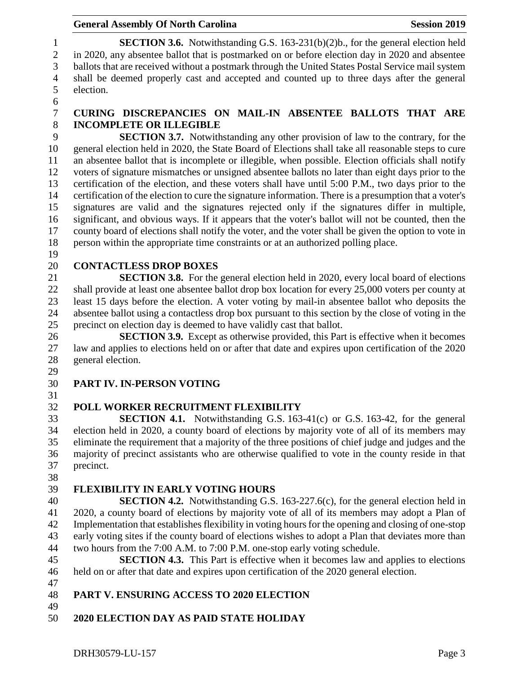#### **General Assembly Of North Carolina Session 2019 Session 2019**

 **SECTION 3.6.** Notwithstanding G.S. 163-231(b)(2)b., for the general election held in 2020, any absentee ballot that is postmarked on or before election day in 2020 and absentee ballots that are received without a postmark through the United States Postal Service mail system shall be deemed properly cast and accepted and counted up to three days after the general election.

### **CURING DISCREPANCIES ON MAIL-IN ABSENTEE BALLOTS THAT ARE INCOMPLETE OR ILLEGIBLE**

 **SECTION 3.7.** Notwithstanding any other provision of law to the contrary, for the general election held in 2020, the State Board of Elections shall take all reasonable steps to cure an absentee ballot that is incomplete or illegible, when possible. Election officials shall notify voters of signature mismatches or unsigned absentee ballots no later than eight days prior to the certification of the election, and these voters shall have until 5:00 P.M., two days prior to the certification of the election to cure the signature information. There is a presumption that a voter's signatures are valid and the signatures rejected only if the signatures differ in multiple, significant, and obvious ways. If it appears that the voter's ballot will not be counted, then the county board of elections shall notify the voter, and the voter shall be given the option to vote in person within the appropriate time constraints or at an authorized polling place.

# **CONTACTLESS DROP BOXES**

 **SECTION 3.8.** For the general election held in 2020, every local board of elections shall provide at least one absentee ballot drop box location for every 25,000 voters per county at least 15 days before the election. A voter voting by mail-in absentee ballot who deposits the absentee ballot using a contactless drop box pursuant to this section by the close of voting in the precinct on election day is deemed to have validly cast that ballot.

 **SECTION 3.9.** Except as otherwise provided, this Part is effective when it becomes law and applies to elections held on or after that date and expires upon certification of the 2020 general election.

# **PART IV. IN-PERSON VOTING**

# **POLL WORKER RECRUITMENT FLEXIBILITY**

 **SECTION 4.1.** Notwithstanding G.S. 163-41(c) or G.S. 163-42, for the general election held in 2020, a county board of elections by majority vote of all of its members may eliminate the requirement that a majority of the three positions of chief judge and judges and the majority of precinct assistants who are otherwise qualified to vote in the county reside in that precinct.

# **FLEXIBILITY IN EARLY VOTING HOURS**

 **SECTION 4.2.** Notwithstanding G.S. 163-227.6(c), for the general election held in 2020, a county board of elections by majority vote of all of its members may adopt a Plan of Implementation that establishes flexibility in voting hoursfor the opening and closing of one-stop early voting sites if the county board of elections wishes to adopt a Plan that deviates more than two hours from the 7:00 A.M. to 7:00 P.M. one-stop early voting schedule.

 **SECTION 4.3.** This Part is effective when it becomes law and applies to elections held on or after that date and expires upon certification of the 2020 general election.

- **PART V. ENSURING ACCESS TO 2020 ELECTION**
- 

**2020 ELECTION DAY AS PAID STATE HOLIDAY**